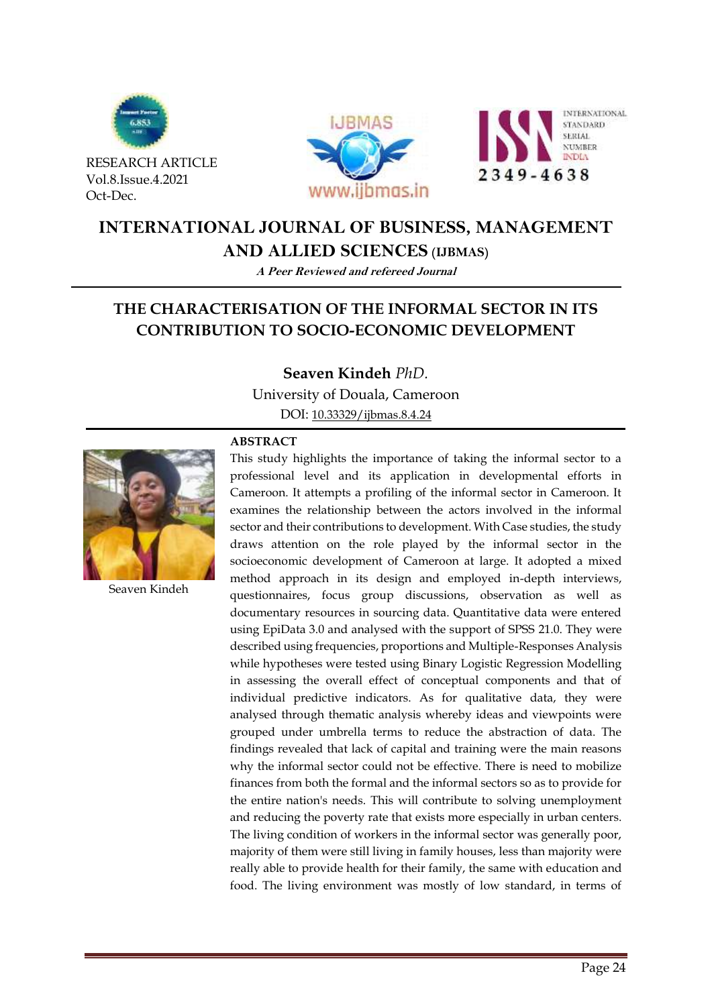

RESEARCH ARTICLE Vol.8.Issue.4.2021 Oct-Dec.





# **INTERNATIONAL JOURNAL OF BUSINESS, MANAGEMENT**

**AND ALLIED SCIENCES (IJBMAS)**

**A Peer Reviewed and refereed Journal**

# **THE CHARACTERISATION OF THE INFORMAL SECTOR IN ITS CONTRIBUTION TO SOCIO-ECONOMIC DEVELOPMENT**

**Seaven Kindeh** *PhD.*

University of Douala, Cameroon

DOI: [10.33329/ijbmas.8.4.2](http://www.ijbmas.in/)4



Seaven Kindeh

# **ABSTRACT**

This study highlights the importance of taking the informal sector to a professional level and its application in developmental efforts in Cameroon. It attempts a profiling of the informal sector in Cameroon. It examines the relationship between the actors involved in the informal sector and their contributions to development. With Case studies, the study draws attention on the role played by the informal sector in the socioeconomic development of Cameroon at large. It adopted a mixed method approach in its design and employed in-depth interviews, questionnaires, focus group discussions, observation as well as documentary resources in sourcing data. Quantitative data were entered using EpiData 3.0 and analysed with the support of SPSS 21.0. They were described using frequencies, proportions and Multiple-Responses Analysis while hypotheses were tested using Binary Logistic Regression Modelling in assessing the overall effect of conceptual components and that of individual predictive indicators. As for qualitative data, they were analysed through thematic analysis whereby ideas and viewpoints were grouped under umbrella terms to reduce the abstraction of data. The findings revealed that lack of capital and training were the main reasons why the informal sector could not be effective. There is need to mobilize finances from both the formal and the informal sectors so as to provide for the entire nation's needs. This will contribute to solving unemployment and reducing the poverty rate that exists more especially in urban centers. The living condition of workers in the informal sector was generally poor, majority of them were still living in family houses, less than majority were really able to provide health for their family, the same with education and food. The living environment was mostly of low standard, in terms of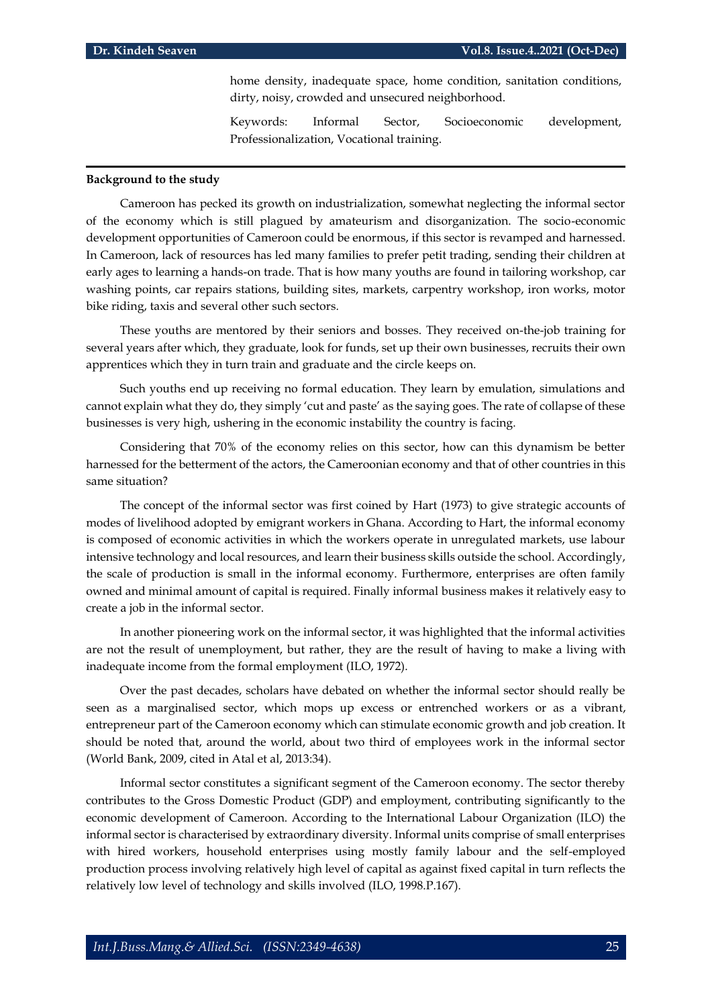home density, inadequate space, home condition, sanitation conditions, dirty, noisy, crowded and unsecured neighborhood.

Keywords: Informal Sector, Socioeconomic development, Professionalization, Vocational training.

### **Background to the study**

Cameroon has pecked its growth on industrialization, somewhat neglecting the informal sector of the economy which is still plagued by amateurism and disorganization. The socio-economic development opportunities of Cameroon could be enormous, if this sector is revamped and harnessed. In Cameroon, lack of resources has led many families to prefer petit trading, sending their children at early ages to learning a hands-on trade. That is how many youths are found in tailoring workshop, car washing points, car repairs stations, building sites, markets, carpentry workshop, iron works, motor bike riding, taxis and several other such sectors.

These youths are mentored by their seniors and bosses. They received on-the-job training for several years after which, they graduate, look for funds, set up their own businesses, recruits their own apprentices which they in turn train and graduate and the circle keeps on.

Such youths end up receiving no formal education. They learn by emulation, simulations and cannot explain what they do, they simply 'cut and paste' as the saying goes. The rate of collapse of these businesses is very high, ushering in the economic instability the country is facing.

Considering that 70% of the economy relies on this sector, how can this dynamism be better harnessed for the betterment of the actors, the Cameroonian economy and that of other countries in this same situation?

The concept of the informal sector was first coined by Hart (1973) to give strategic accounts of modes of livelihood adopted by emigrant workers in Ghana. According to Hart, the informal economy is composed of economic activities in which the workers operate in unregulated markets, use labour intensive technology and local resources, and learn their business skills outside the school. Accordingly, the scale of production is small in the informal economy. Furthermore, enterprises are often family owned and minimal amount of capital is required. Finally informal business makes it relatively easy to create a job in the informal sector.

In another pioneering work on the informal sector, it was highlighted that the informal activities are not the result of unemployment, but rather, they are the result of having to make a living with inadequate income from the formal employment (ILO, 1972).

Over the past decades, scholars have debated on whether the informal sector should really be seen as a marginalised sector, which mops up excess or entrenched workers or as a vibrant, entrepreneur part of the Cameroon economy which can stimulate economic growth and job creation. It should be noted that, around the world, about two third of employees work in the informal sector (World Bank, 2009, cited in Atal et al, 2013:34).

Informal sector constitutes a significant segment of the Cameroon economy. The sector thereby contributes to the Gross Domestic Product (GDP) and employment, contributing significantly to the economic development of Cameroon. According to the International Labour Organization (ILO) the informal sector is characterised by extraordinary diversity. Informal units comprise of small enterprises with hired workers, household enterprises using mostly family labour and the self-employed production process involving relatively high level of capital as against fixed capital in turn reflects the relatively low level of technology and skills involved (ILO, 1998.P.167).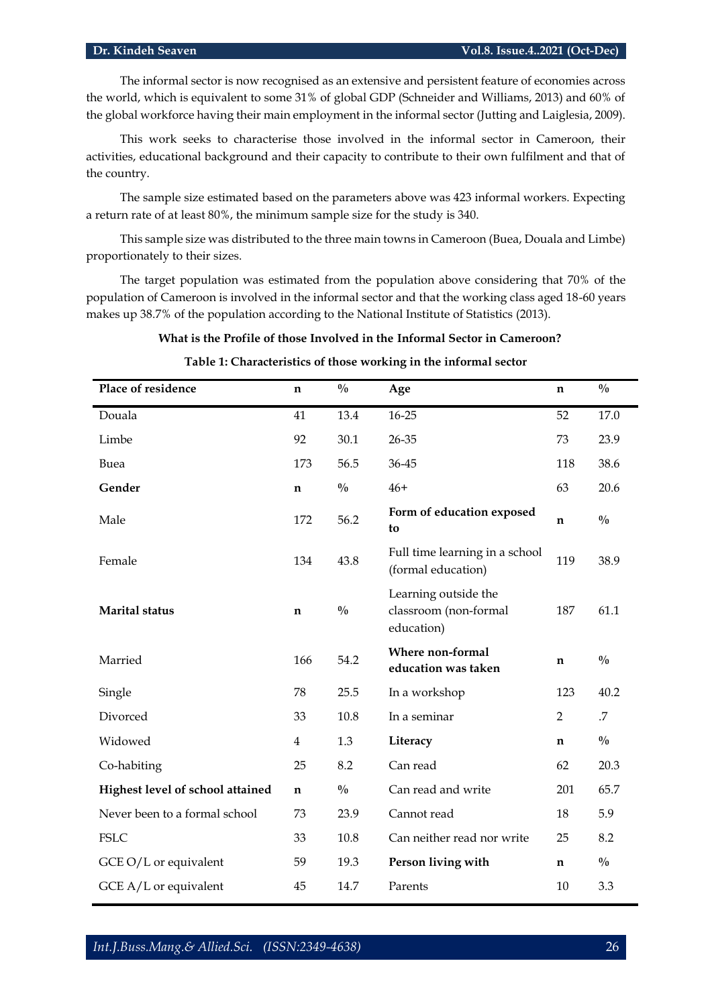The informal sector is now recognised as an extensive and persistent feature of economies across the world, which is equivalent to some 31% of global GDP (Schneider and Williams, 2013) and 60% of the global workforce having their main employment in the informal sector (Jutting and Laiglesia, 2009).

This work seeks to characterise those involved in the informal sector in Cameroon, their activities, educational background and their capacity to contribute to their own fulfilment and that of the country.

The sample size estimated based on the parameters above was 423 informal workers. Expecting a return rate of at least 80%, the minimum sample size for the study is 340.

This sample size was distributed to the three main towns in Cameroon (Buea, Douala and Limbe) proportionately to their sizes.

The target population was estimated from the population above considering that 70% of the population of Cameroon is involved in the informal sector and that the working class aged 18-60 years makes up 38.7% of the population according to the National Institute of Statistics (2013).

# **What is the Profile of those Involved in the Informal Sector in Cameroon?**

| Place of residence               | n              | $\frac{0}{0}$ | Age                                                         | n           | $\frac{0}{0}$ |
|----------------------------------|----------------|---------------|-------------------------------------------------------------|-------------|---------------|
| Douala                           | 41             | 13.4          | $16 - 25$                                                   | 52          | 17.0          |
| Limbe                            | 92             | 30.1          | 26-35                                                       | 73          | 23.9          |
| Buea                             | 173            | 56.5          | 36-45                                                       | 118         | 38.6          |
| Gender                           | n              | $\frac{0}{0}$ | $46+$                                                       | 63          | 20.6          |
| Male                             | 172            | 56.2          | Form of education exposed<br>to                             | n           | $\frac{0}{0}$ |
| Female                           | 134            | 43.8          | Full time learning in a school<br>(formal education)        | 119         | 38.9          |
| <b>Marital</b> status            | $\mathbf n$    | $\frac{0}{0}$ | Learning outside the<br>classroom (non-formal<br>education) | 187         | 61.1          |
| Married                          | 166            | 54.2          | Where non-formal<br>education was taken                     | $\mathbf n$ | $\frac{0}{0}$ |
| Single                           | 78             | 25.5          | In a workshop                                               | 123         | 40.2          |
| Divorced                         | 33             | 10.8          | In a seminar                                                | 2           | .7            |
| Widowed                          | $\overline{4}$ | 1.3           | Literacy                                                    | $\mathbf n$ | $\frac{0}{0}$ |
| Co-habiting                      | 25             | 8.2           | Can read                                                    | 62          | 20.3          |
| Highest level of school attained | $\mathbf n$    | $\frac{0}{0}$ | Can read and write                                          | 201         | 65.7          |
| Never been to a formal school    | 73             | 23.9          | Cannot read                                                 | 18          | 5.9           |
| <b>FSLC</b>                      | 33             | 10.8          | Can neither read nor write                                  | 25          | 8.2           |
| GCE O/L or equivalent            | 59             | 19.3          | Person living with                                          | n           | $\frac{0}{0}$ |
| GCE $A/L$ or equivalent          | 45             | 14.7          | Parents                                                     | 10          | 3.3           |

# **Table 1: Characteristics of those working in the informal sector**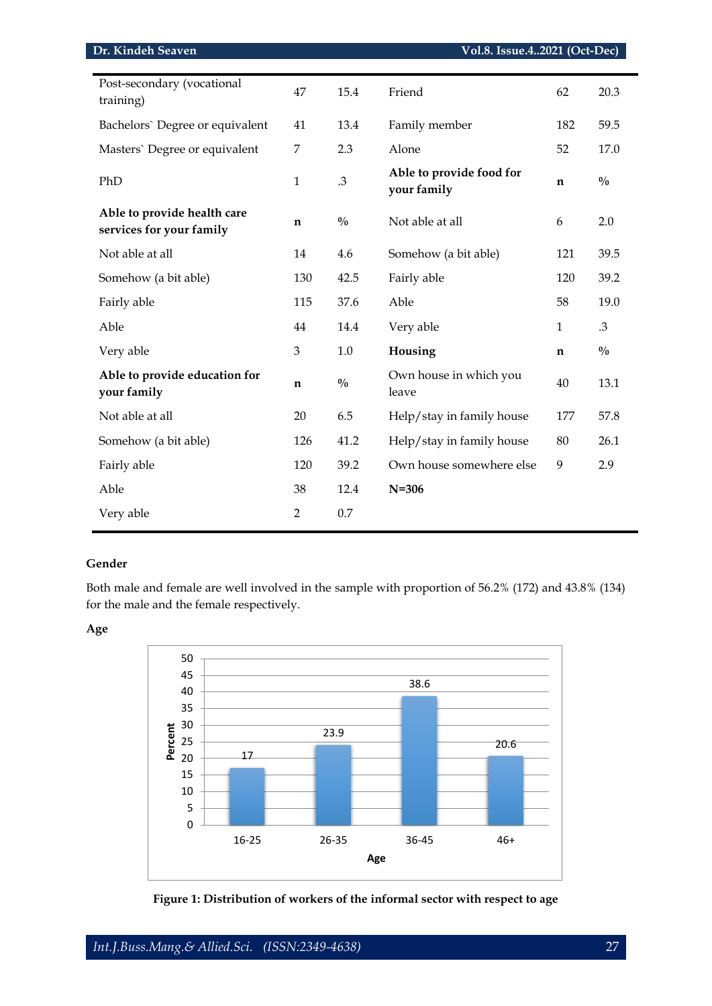| Post-secondary (vocational<br>training)                 | 47             | 15.4          | Friend                                  | 62           | 20.3          |
|---------------------------------------------------------|----------------|---------------|-----------------------------------------|--------------|---------------|
| Bachelors' Degree or equivalent                         | 41             | 13.4          | Family member                           | 182          | 59.5          |
| Masters' Degree or equivalent                           | 7              | 2.3           | Alone                                   | 52           | 17.0          |
| PhD                                                     | $\mathbf{1}$   | $.3\,$        | Able to provide food for<br>your family | $\mathbf n$  | $\frac{0}{0}$ |
| Able to provide health care<br>services for your family | $\mathbf n$    | $\frac{0}{0}$ | Not able at all                         | 6            | 2.0           |
| Not able at all                                         | 14             | 4.6           | Somehow (a bit able)                    | 121          | 39.5          |
| Somehow (a bit able)                                    | 130            | 42.5          | Fairly able                             | 120          | 39.2          |
| Fairly able                                             | 115            | 37.6          | Able                                    | 58           | 19.0          |
| Able                                                    | 44             | 14.4          | Very able                               | $\mathbf{1}$ | .3            |
| Very able                                               | $\mathfrak{B}$ | 1.0           | Housing                                 | $\mathbf n$  | $\frac{0}{0}$ |
| Able to provide education for<br>your family            | $\mathbf n$    | $\frac{0}{0}$ | Own house in which you<br>leave         | 40           | 13.1          |
| Not able at all                                         | 20             | 6.5           | Help/stay in family house               | 177          | 57.8          |
| Somehow (a bit able)                                    | 126            | 41.2          | Help/stay in family house               | 80           | 26.1          |
| Fairly able                                             | 120            | 39.2          | Own house somewhere else                | 9            | 2.9           |
| Able                                                    | 38             | 12.4          | $N = 306$                               |              |               |
| Very able                                               | $\overline{2}$ | 0.7           |                                         |              |               |

# **Gender**

Both male and female are well involved in the sample with proportion of 56.2% (172) and 43.8% (134) for the male and the female respectively.

**Age**



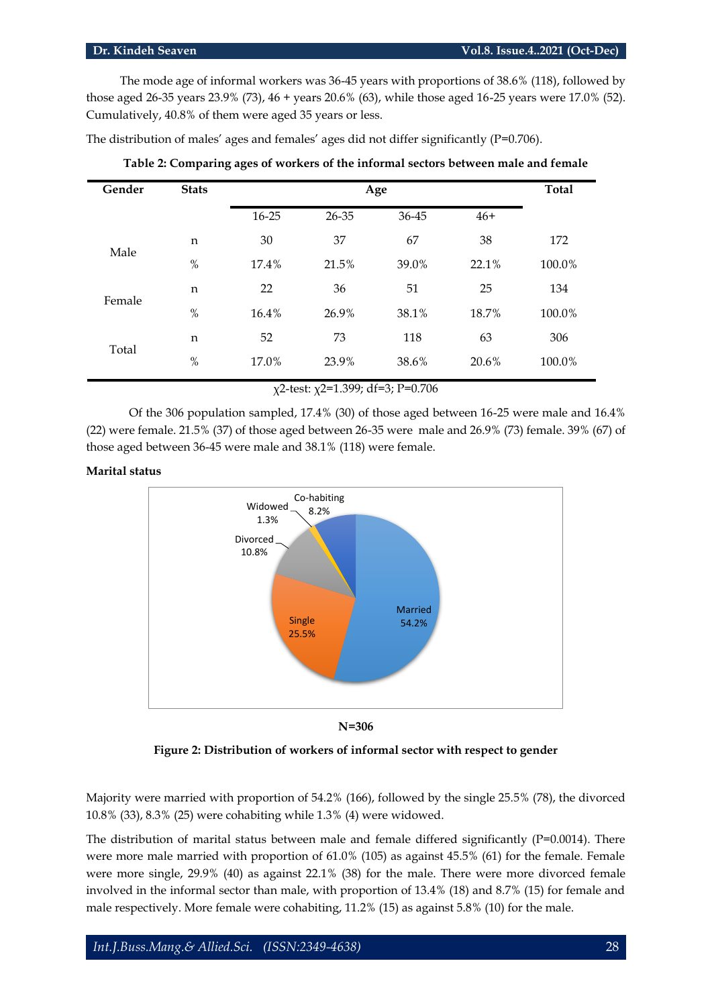The mode age of informal workers was 36-45 years with proportions of 38.6% (118), followed by those aged 26-35 years 23.9% (73), 46 + years 20.6% (63), while those aged 16-25 years were 17.0% (52). Cumulatively, 40.8% of them were aged 35 years or less.

The distribution of males' ages and females' ages did not differ significantly  $(P=0.706)$ .

| Gender | <b>Stats</b> |           | Age   |       |       |        |  |
|--------|--------------|-----------|-------|-------|-------|--------|--|
|        |              | $16 - 25$ | 26-35 | 36-45 | $46+$ |        |  |
| Male   | n            | 30        | 37    | 67    | 38    | 172    |  |
|        | $\%$         | 17.4%     | 21.5% | 39.0% | 22.1% | 100.0% |  |
| Female | n            | 22        | 36    | 51    | 25    | 134    |  |
|        | $\%$         | 16.4%     | 26.9% | 38.1% | 18.7% | 100.0% |  |
|        | n            | 52        | 73    | 118   | 63    | 306    |  |
| Total  | $\%$         | 17.0%     | 23.9% | 38.6% | 20.6% | 100.0% |  |

**Table 2: Comparing ages of workers of the informal sectors between male and female**

χ2-test: χ2=1.399; df=3; P=0.706

Of the 306 population sampled, 17.4% (30) of those aged between 16-25 were male and 16.4% (22) were female. 21.5% (37) of those aged between 26-35 were male and 26.9% (73) female. 39% (67) of those aged between 36-45 were male and 38.1% (118) were female.

# **Marital status**



**N=306**

**Figure 2: Distribution of workers of informal sector with respect to gender**

Majority were married with proportion of 54.2% (166), followed by the single 25.5% (78), the divorced 10.8% (33), 8.3% (25) were cohabiting while 1.3% (4) were widowed.

The distribution of marital status between male and female differed significantly (P=0.0014). There were more male married with proportion of 61.0% (105) as against 45.5% (61) for the female. Female were more single, 29.9% (40) as against 22.1% (38) for the male. There were more divorced female involved in the informal sector than male, with proportion of 13.4% (18) and 8.7% (15) for female and male respectively. More female were cohabiting, 11.2% (15) as against 5.8% (10) for the male.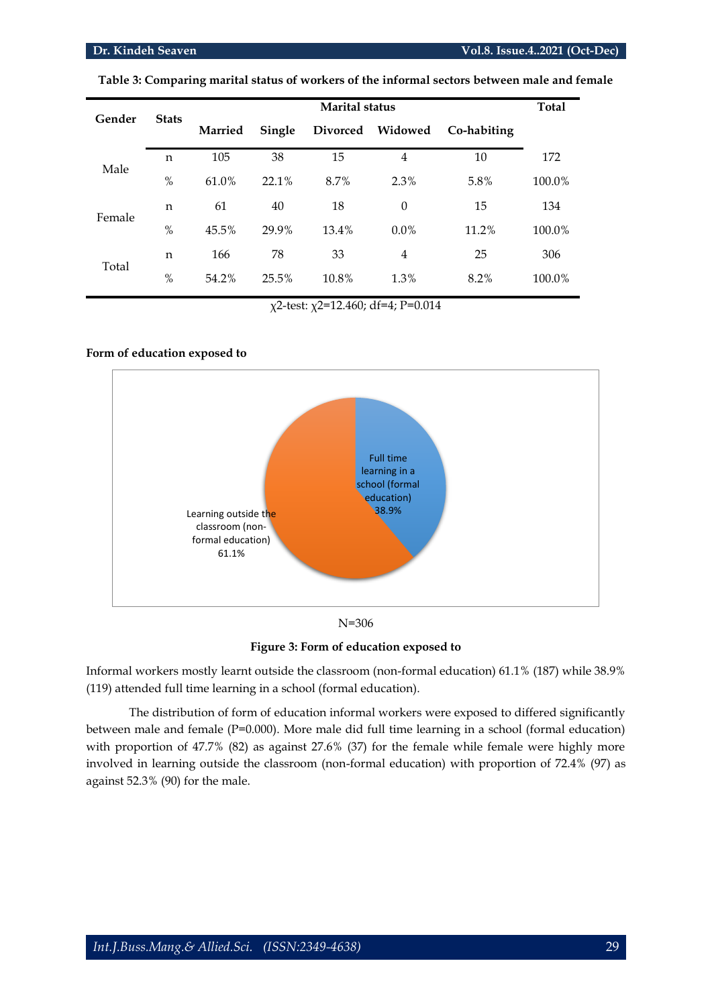### **Dr. Kindeh Seaven Vol.8. Issue.4..2021 (Oct-Dec)**

| Gender | <b>Stats</b> |        | <b>Marital status</b> |         |             |       | <b>Total</b> |
|--------|--------------|--------|-----------------------|---------|-------------|-------|--------------|
|        | Married      | Single | Divorced              | Widowed | Co-habiting |       |              |
| Male   | n            | 105    | 38                    | 15      | 4           | 10    | 172          |
|        | $\%$         | 61.0%  | 22.1%                 | 8.7%    | 2.3%        | 5.8%  | 100.0%       |
| Female | n            | 61     | 40                    | 18      | $\theta$    | 15    | 134          |
|        | $\%$         | 45.5%  | 29.9%                 | 13.4%   | $0.0\%$     | 11.2% | 100.0%       |
| Total  | n            | 166    | 78                    | 33      | 4           | 25    | 306          |
|        | $\%$         | 54.2%  | 25.5%                 | 10.8%   | 1.3%        | 8.2%  | 100.0%       |

**Table 3: Comparing marital status of workers of the informal sectors between male and female**

χ2-test: χ2=12.460; df=4; P=0.014

# **Form of education exposed to**



N=306

**Figure 3: Form of education exposed to**

Informal workers mostly learnt outside the classroom (non-formal education) 61.1% (187) while 38.9% (119) attended full time learning in a school (formal education).

The distribution of form of education informal workers were exposed to differed significantly between male and female (P=0.000). More male did full time learning in a school (formal education) with proportion of 47.7% (82) as against 27.6% (37) for the female while female were highly more involved in learning outside the classroom (non-formal education) with proportion of 72.4% (97) as against 52.3% (90) for the male.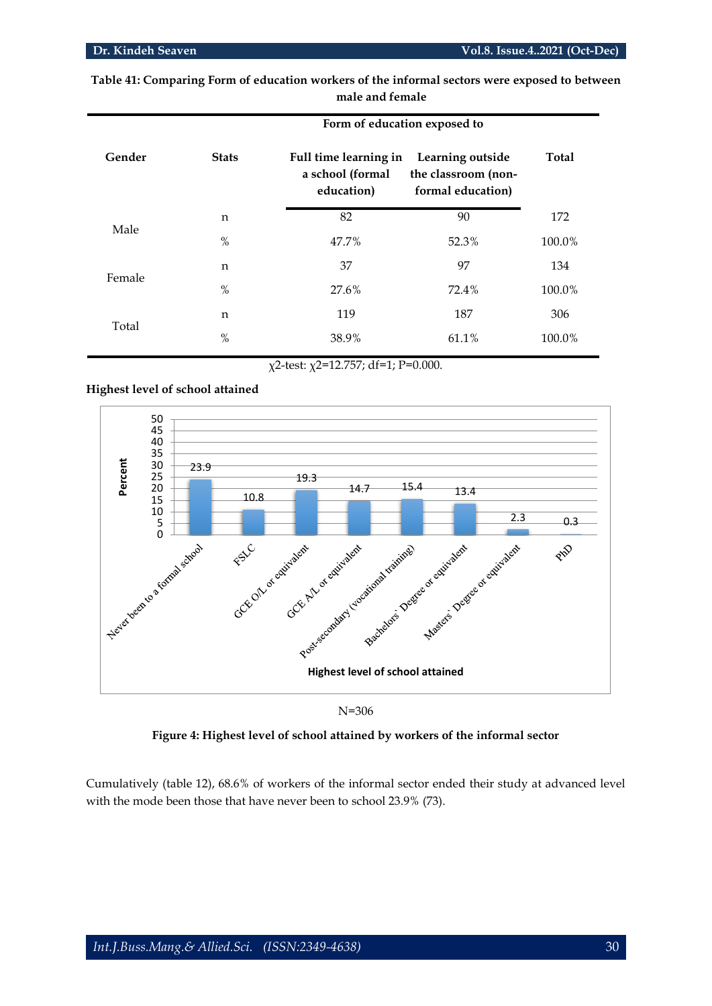|        | Form of education exposed to |                                                         |                                                              |        |  |  |  |  |
|--------|------------------------------|---------------------------------------------------------|--------------------------------------------------------------|--------|--|--|--|--|
| Gender | <b>Stats</b>                 | Full time learning in<br>a school (formal<br>education) | Learning outside<br>the classroom (non-<br>formal education) | Total  |  |  |  |  |
|        | n                            | 82                                                      | 90                                                           | 172    |  |  |  |  |
| Male   | $\%$                         | 47.7%                                                   | 52.3%                                                        | 100.0% |  |  |  |  |
| Female | $\mathbf n$                  | 37                                                      | 97                                                           | 134    |  |  |  |  |
|        | $\%$                         | 27.6%                                                   | 72.4%                                                        | 100.0% |  |  |  |  |
| Total  | n                            | 119                                                     | 187                                                          | 306    |  |  |  |  |
|        | $\%$                         | 38.9%                                                   | 61.1%                                                        | 100.0% |  |  |  |  |

**Table 41: Comparing Form of education workers of the informal sectors were exposed to between male and female**

# **Highest level of school attained**



N=306

**Figure 4: Highest level of school attained by workers of the informal sector**

Cumulatively (table 12), 68.6% of workers of the informal sector ended their study at advanced level with the mode been those that have never been to school 23.9% (73).

χ2-test: χ2=12.757; df=1; P=0.000.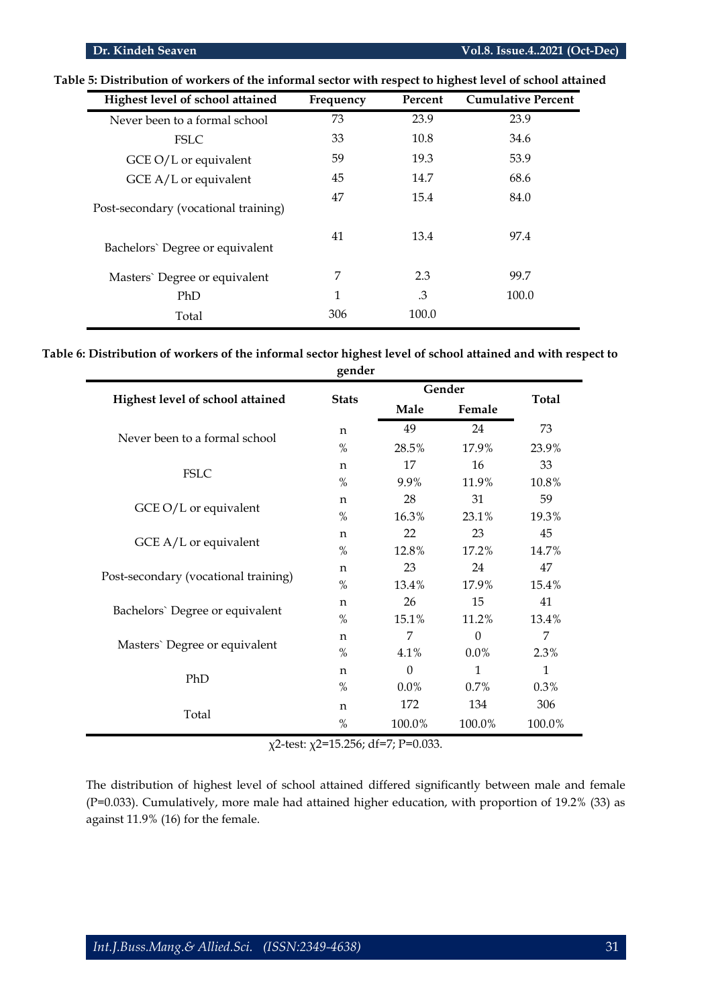| Highest level of school attained     | Frequency | Percent | <b>Cumulative Percent</b> |
|--------------------------------------|-----------|---------|---------------------------|
| Never been to a formal school        | 73        | 23.9    | 23.9                      |
| <b>FSLC</b>                          | 33        | 10.8    | 34.6                      |
| $GCE O/L$ or equivalent              | 59        | 19.3    | 53.9                      |
| $GCE A/L$ or equivalent              | 45        | 14.7    | 68.6                      |
| Post-secondary (vocational training) | 47        | 15.4    | 84.0                      |
| Bachelors' Degree or equivalent      | 41        | 13.4    | 97.4                      |
| Masters' Degree or equivalent        | 7         | 2.3     | 99.7                      |
| PhD                                  | 1         | .3      | 100.0                     |
| Total                                | 306       | 100.0   |                           |

**Table 5: Distribution of workers of the informal sector with respect to highest level of school attained**

**Table 6: Distribution of workers of the informal sector highest level of school attained and with respect to gender**

|                                      |              |          | Gender       |              |
|--------------------------------------|--------------|----------|--------------|--------------|
| Highest level of school attained     | <b>Stats</b> | Male     | Female       | <b>Total</b> |
|                                      | $\mathsf{n}$ | 49       | 24           | 73           |
| Never been to a formal school        | $\%$         | 28.5%    | 17.9%        | 23.9%        |
| <b>FSLC</b>                          | n            | 17       | 16           | 33           |
|                                      | $\%$         | 9.9%     | 11.9%        | 10.8%        |
|                                      | n            | 28       | 31           | 59           |
| GCE O/L or equivalent                | $\%$         | 16.3%    | 23.1%        | 19.3%        |
|                                      | n            | 22       | 23           | 45           |
| GCE $A/L$ or equivalent              | $\%$         | 12.8%    | 17.2%        | 14.7%        |
|                                      | $\mathsf{n}$ | 23       | 24           | 47           |
| Post-secondary (vocational training) | $\%$         | 13.4%    | 17.9%        | 15.4%        |
|                                      | $\mathsf{n}$ | 26       | 15           | 41           |
| Bachelors' Degree or equivalent      | $\%$         | 15.1%    | 11.2%        | 13.4%        |
|                                      | $\mathsf{n}$ | 7        | $\Omega$     | 7            |
| Masters' Degree or equivalent        | $\%$         | 4.1%     | $0.0\%$      | 2.3%         |
|                                      | $\mathsf{n}$ | $\theta$ | $\mathbf{1}$ | $\mathbf{1}$ |
| PhD                                  | $\%$         | $0.0\%$  | $0.7\%$      | $0.3\%$      |
|                                      | n            | 172      | 134          | 306          |
| Total                                | $\%$         | 100.0%   | 100.0%       | 100.0%       |

χ2-test: χ2=15.256; df=7; P=0.033.

The distribution of highest level of school attained differed significantly between male and female (P=0.033). Cumulatively, more male had attained higher education, with proportion of 19.2% (33) as against 11.9% (16) for the female.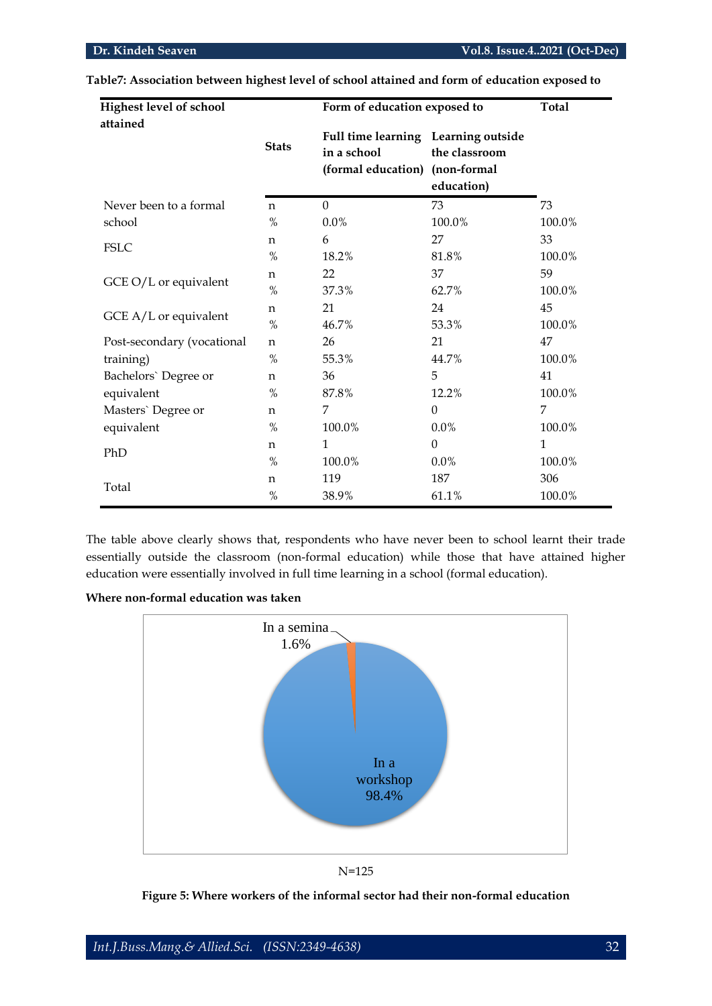| <b>Highest level of school</b><br>attained |              | Form of education exposed to                                             | <b>Total</b>                               |              |
|--------------------------------------------|--------------|--------------------------------------------------------------------------|--------------------------------------------|--------------|
|                                            | <b>Stats</b> | Full time learning Learning outside<br>in a school<br>(formal education) | the classroom<br>(non-formal<br>education) |              |
| Never been to a formal                     | $\mathsf{n}$ | $\Omega$                                                                 | 73                                         | 73           |
| school                                     | $\%$         | 0.0%                                                                     | 100.0%                                     | 100.0%       |
|                                            | $\mathbf n$  | 6                                                                        | 27                                         | 33           |
| <b>FSLC</b>                                | $\%$         | 18.2%                                                                    | 81.8%                                      | 100.0%       |
| GCE O/L or equivalent                      | n            | 22                                                                       | 37                                         | 59           |
|                                            | $\%$         | 37.3%                                                                    | 62.7%                                      | 100.0%       |
|                                            | n            | 21                                                                       | 24                                         | 45           |
| GCE A/L or equivalent                      | $\%$         | 46.7%                                                                    | 53.3%                                      | 100.0%       |
| Post-secondary (vocational                 | $\mathbf n$  | 26                                                                       | 21                                         | 47           |
| training)                                  | $\%$         | 55.3%                                                                    | 44.7%                                      | 100.0%       |
| Bachelors' Degree or                       | n            | 36                                                                       | 5                                          | 41           |
| equivalent                                 | $\%$         | 87.8%                                                                    | 12.2%                                      | 100.0%       |
| Masters' Degree or                         | n            | 7                                                                        | $\theta$                                   | 7            |
| equivalent                                 | %            | 100.0%                                                                   | $0.0\%$                                    | 100.0%       |
| PhD                                        | n            | 1                                                                        | $\theta$                                   | $\mathbf{1}$ |
|                                            | $\%$         | 100.0%                                                                   | 0.0%                                       | 100.0%       |
|                                            | n            | 119                                                                      | 187                                        | 306          |
| Total                                      | $\%$         | 38.9%                                                                    | 61.1%                                      | 100.0%       |

**Table7: Association between highest level of school attained and form of education exposed to**

The table above clearly shows that, respondents who have never been to school learnt their trade essentially outside the classroom (non-formal education) while those that have attained higher education were essentially involved in full time learning in a school (formal education).





N=125

**Figure 5: Where workers of the informal sector had their non-formal education**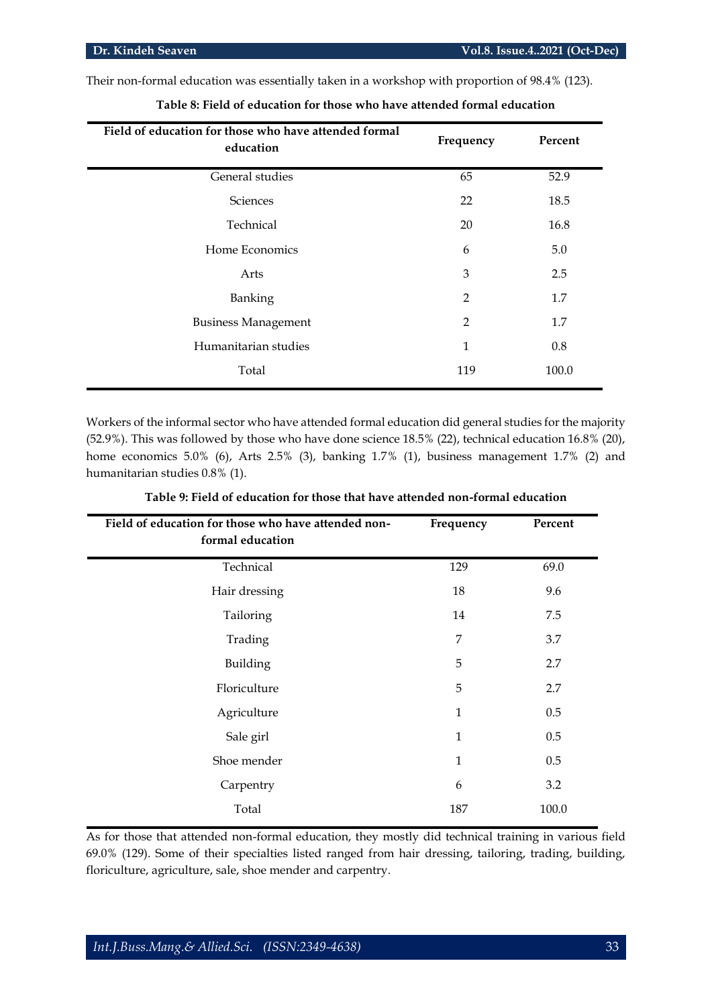Their non-formal education was essentially taken in a workshop with proportion of 98.4% (123).

| Field of education for those who have attended formal<br>education | Frequency | Percent |
|--------------------------------------------------------------------|-----------|---------|
| General studies                                                    | 65        | 52.9    |
| Sciences                                                           | 22        | 18.5    |
| Technical                                                          | 20        | 16.8    |
| Home Economics                                                     | 6         | 5.0     |
| Arts                                                               | 3         | 2.5     |
| Banking                                                            | 2         | 1.7     |
| <b>Business Management</b>                                         | 2         | 1.7     |
| Humanitarian studies                                               | 1         | 0.8     |
| Total                                                              | 119       | 100.0   |

**Table 8: Field of education for those who have attended formal education**

Workers of the informal sector who have attended formal education did general studies for the majority (52.9%). This was followed by those who have done science 18.5% (22), technical education 16.8% (20), home economics 5.0% (6), Arts 2.5% (3), banking 1.7% (1), business management 1.7% (2) and humanitarian studies 0.8% (1).

| Field of education for those who have attended non-<br>formal education | Frequency    | Percent |
|-------------------------------------------------------------------------|--------------|---------|
| Technical                                                               | 129          | 69.0    |
| Hair dressing                                                           | 18           | 9.6     |
| Tailoring                                                               | 14           | 7.5     |
| Trading                                                                 | 7            | 3.7     |
| Building                                                                | 5            | 2.7     |
| Floriculture                                                            | 5            | 2.7     |
| Agriculture                                                             | 1            | 0.5     |
| Sale girl                                                               | $\mathbf{1}$ | 0.5     |
| Shoe mender                                                             | 1            | 0.5     |
| Carpentry                                                               | 6            | 3.2     |
| Total                                                                   | 187          | 100.0   |

**Table 9: Field of education for those that have attended non-formal education**

As for those that attended non-formal education, they mostly did technical training in various field 69.0% (129). Some of their specialties listed ranged from hair dressing, tailoring, trading, building, floriculture, agriculture, sale, shoe mender and carpentry.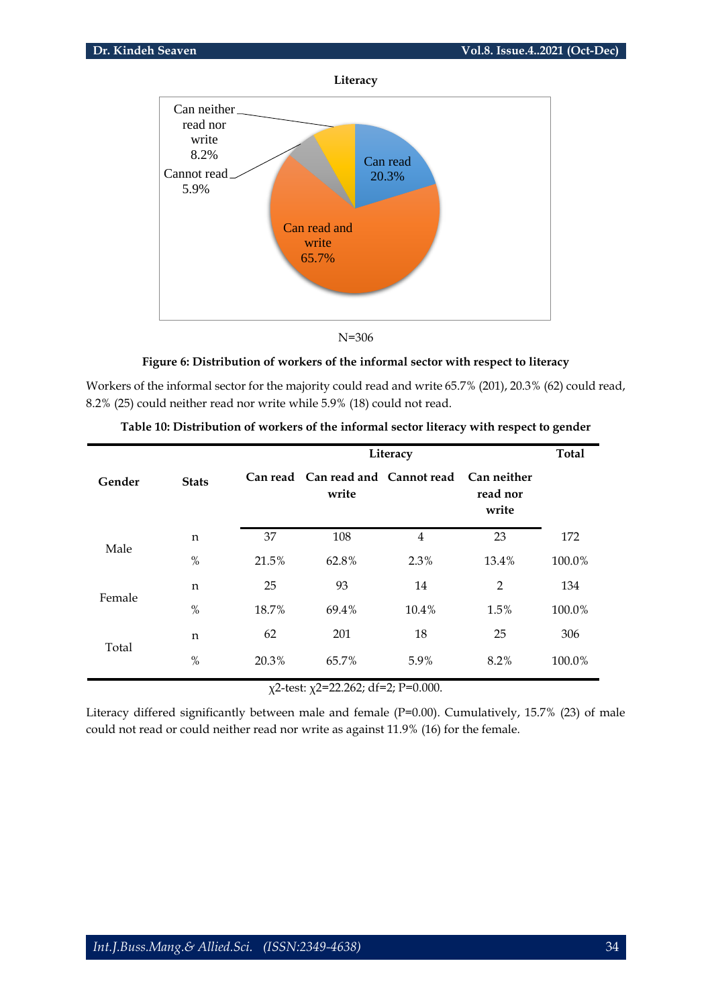



N=306

# **Figure 6: Distribution of workers of the informal sector with respect to literacy**

Workers of the informal sector for the majority could read and write 65.7% (201), 20.3% (62) could read, 8.2% (25) could neither read nor write while 5.9% (18) could not read.

|        |              |       | Literacy                                   |                |                                  |        |  |
|--------|--------------|-------|--------------------------------------------|----------------|----------------------------------|--------|--|
| Gender | <b>Stats</b> |       | Can read Can read and Cannot read<br>write |                | Can neither<br>read nor<br>write |        |  |
|        | n            | 37    | 108                                        | $\overline{4}$ | 23                               | 172    |  |
| Male   | $\%$         | 21.5% | 62.8%                                      | 2.3%           | 13.4%                            | 100.0% |  |
| Female | n            | 25    | 93                                         | 14             | $\overline{2}$                   | 134    |  |
|        | %            | 18.7% | 69.4%                                      | 10.4%          | 1.5%                             | 100.0% |  |
|        | n            | 62    | 201                                        | 18             | 25                               | 306    |  |
| Total  | $\%$         | 20.3% | 65.7%                                      | 5.9%           | 8.2%                             | 100.0% |  |

| Table 10: Distribution of workers of the informal sector literacy with respect to gender |  |
|------------------------------------------------------------------------------------------|--|
|------------------------------------------------------------------------------------------|--|

χ2-test: χ2=22.262; df=2; P=0.000.

Literacy differed significantly between male and female (P=0.00). Cumulatively, 15.7% (23) of male could not read or could neither read nor write as against 11.9% (16) for the female.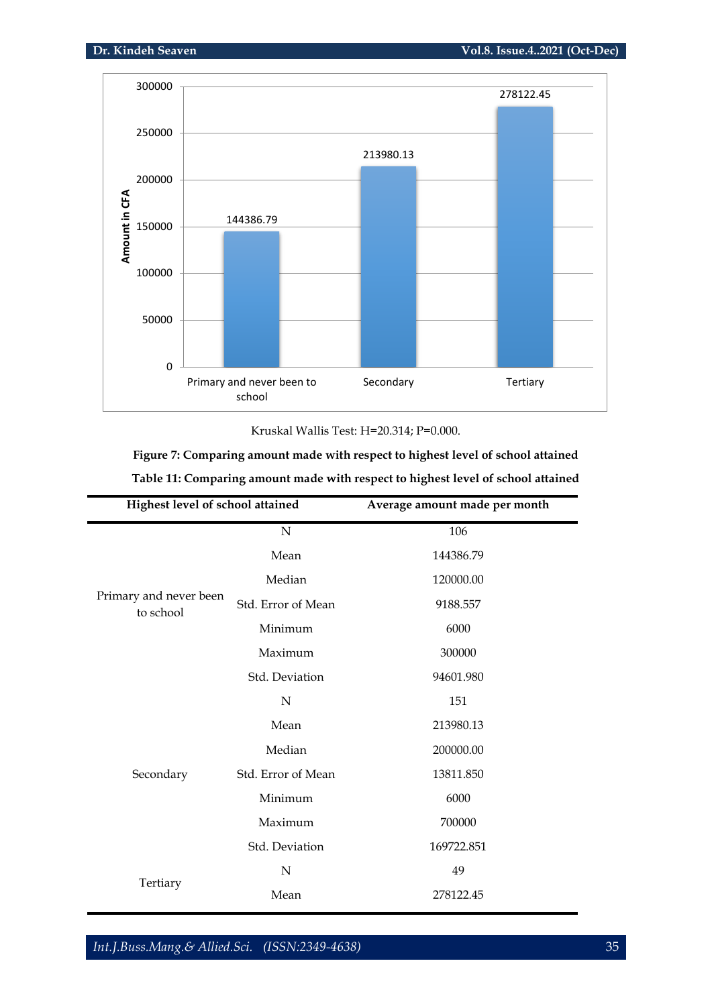

Kruskal Wallis Test: H=20.314; P=0.000.

**Figure 7: Comparing amount made with respect to highest level of school attained Table 11: Comparing amount made with respect to highest level of school attained**

| <b>Highest level of school attained</b> |                    | Average amount made per month |
|-----------------------------------------|--------------------|-------------------------------|
|                                         | $\mathbf N$        | 106                           |
|                                         | Mean               | 144386.79                     |
|                                         | Median             | 120000.00                     |
| Primary and never been<br>to school     | Std. Error of Mean | 9188.557                      |
|                                         | Minimum            | 6000                          |
|                                         | Maximum            | 300000                        |
|                                         | Std. Deviation     | 94601.980                     |
|                                         | N                  | 151                           |
|                                         | Mean               | 213980.13                     |
|                                         | Median             | 200000.00                     |
| Secondary                               | Std. Error of Mean | 13811.850                     |
|                                         | Minimum            | 6000                          |
|                                         | Maximum            | 700000                        |
|                                         | Std. Deviation     | 169722.851                    |
|                                         | $\mathbf N$        | 49                            |
| Tertiary                                | Mean               | 278122.45                     |

*Int.J.Buss.Mang.& Allied.Sci. (ISSN:2349-4638)* 35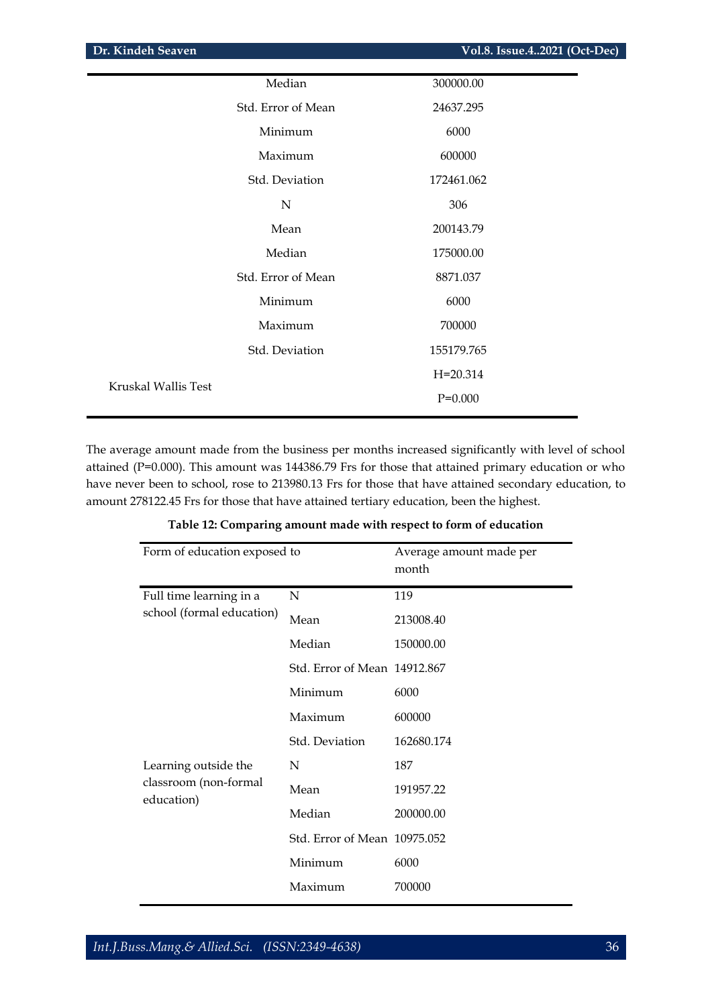|                     | Median             | 300000.00    |
|---------------------|--------------------|--------------|
|                     | Std. Error of Mean | 24637.295    |
|                     | Minimum            | 6000         |
|                     | Maximum            | 600000       |
|                     | Std. Deviation     | 172461.062   |
|                     | ${\bf N}$          | 306          |
|                     | Mean               | 200143.79    |
|                     | Median             | 175000.00    |
|                     | Std. Error of Mean | 8871.037     |
|                     | Minimum            | 6000         |
|                     | Maximum            | 700000       |
|                     | Std. Deviation     | 155179.765   |
|                     |                    | $H = 20.314$ |
| Kruskal Wallis Test |                    | $P=0.000$    |
|                     |                    |              |

The average amount made from the business per months increased significantly with level of school attained (P=0.000). This amount was 144386.79 Frs for those that attained primary education or who have never been to school, rose to 213980.13 Frs for those that have attained secondary education, to amount 278122.45 Frs for those that have attained tertiary education, been the highest.

| Form of education exposed to        | Average amount made per<br>month |            |
|-------------------------------------|----------------------------------|------------|
| Full time learning in a             | N                                | 119        |
| school (formal education)           | Mean                             | 213008.40  |
|                                     | Median                           | 150000.00  |
|                                     | Std. Error of Mean 14912.867     |            |
|                                     | Minimum                          | 6000       |
|                                     | Maximum                          | 600000     |
|                                     | Std. Deviation                   | 162680.174 |
| Learning outside the                | N                                | 187        |
| classroom (non-formal<br>education) | Mean                             | 191957.22  |
|                                     | Median                           | 200000.00  |
|                                     | Std. Error of Mean 10975.052     |            |
|                                     | Minimum                          | 6000       |
|                                     | Maximum                          | 700000     |

# **Table 12: Comparing amount made with respect to form of education**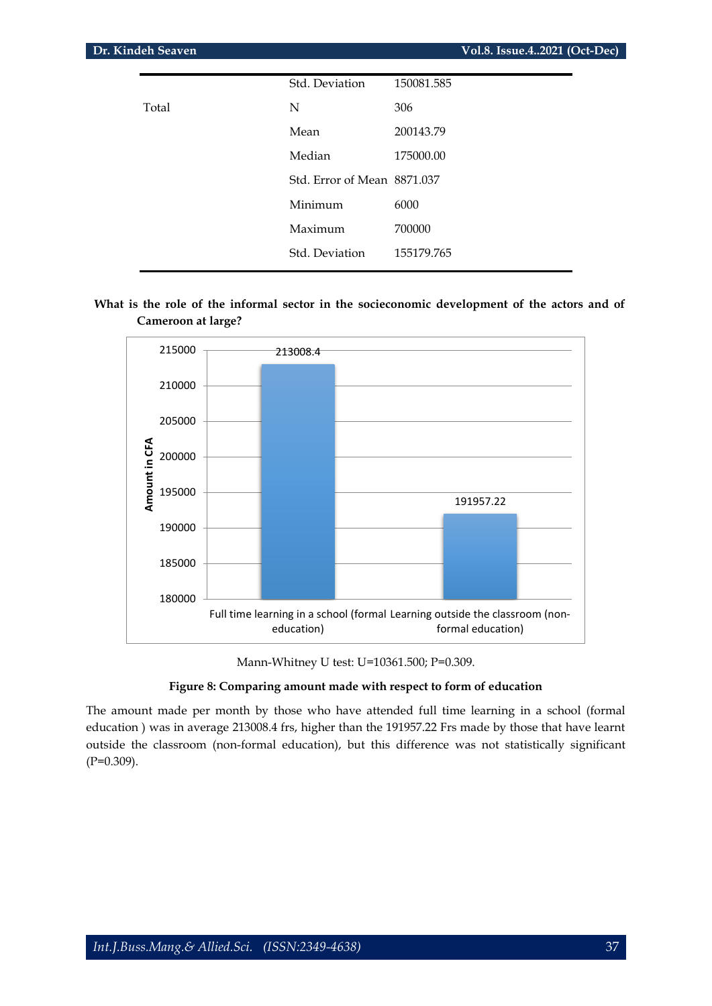| Dr. Kindeh Seaven |                             | Vol.8. Issue.42021 (Oct-Dec) |  |
|-------------------|-----------------------------|------------------------------|--|
|                   | Std. Deviation              | 150081.585                   |  |
| Total             | N                           | 306                          |  |
|                   | Mean                        | 200143.79                    |  |
|                   | Median                      | 175000.00                    |  |
|                   | Std. Error of Mean 8871.037 |                              |  |
|                   | Minimum                     | 6000                         |  |
|                   | Maximum                     | 700000                       |  |
|                   | Std. Deviation              | 155179.765                   |  |
|                   |                             |                              |  |

I

# What is the role of the informal sector in the socieconomic development of the actors and of **Cameroon at large?**



Mann-Whitney U test: U=10361.500; P=0.309.

# **Figure 8: Comparing amount made with respect to form of education**

The amount made per month by those who have attended full time learning in a school (formal education ) was in average 213008.4 frs, higher than the 191957.22 Frs made by those that have learnt outside the classroom (non-formal education), but this difference was not statistically significant (P=0.309).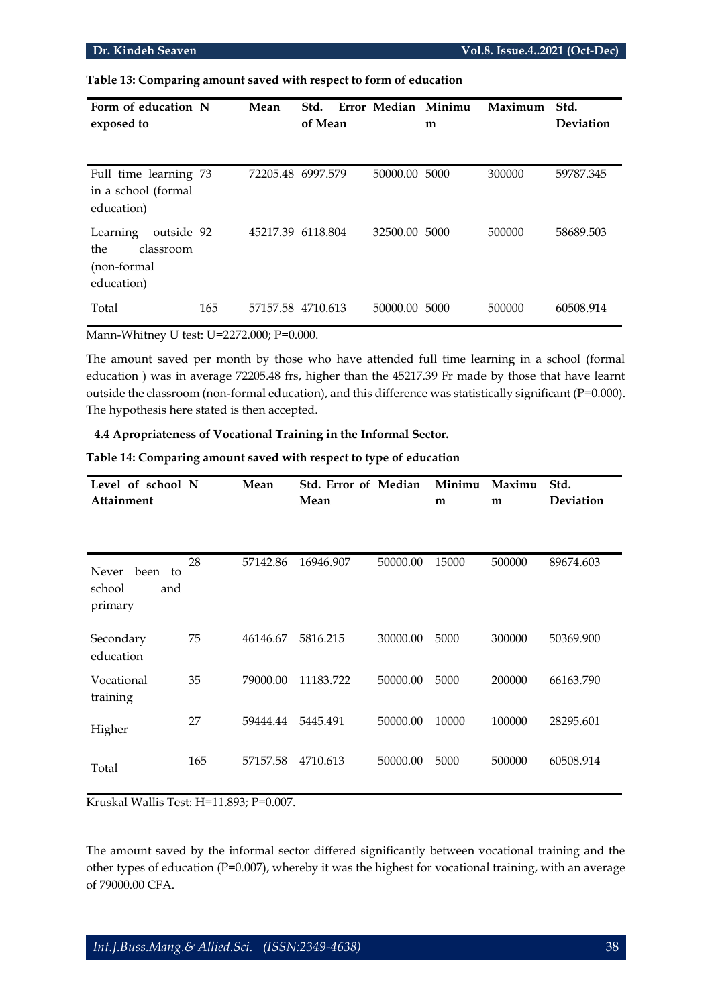**Table 13: Comparing amount saved with respect to form of education**

| Form of education N<br>exposed to                                       |     | Mean              | Std.<br>of Mean | Error Median Minimu | m | Maximum | Std.<br>Deviation |
|-------------------------------------------------------------------------|-----|-------------------|-----------------|---------------------|---|---------|-------------------|
| Full time learning 73<br>in a school (formal<br>education)              |     | 72205.48 6997.579 |                 | 50000.00 5000       |   | 300000  | 59787.345         |
| outside 92<br>Learning<br>classroom<br>the<br>(non-formal<br>education) |     | 45217.39 6118.804 |                 | 32500.00 5000       |   | 500000  | 58689.503         |
| Total                                                                   | 165 | 57157.58 4710.613 |                 | 50000.00 5000       |   | 500000  | 60508.914         |

Mann-Whitney U test: U=2272.000; P=0.000.

The amount saved per month by those who have attended full time learning in a school (formal education ) was in average 72205.48 frs, higher than the 45217.39 Fr made by those that have learnt outside the classroom (non-formal education), and this difference was statistically significant (P=0.000). The hypothesis here stated is then accepted.

### **4.4 Apropriateness of Vocational Training in the Informal Sector.**

| Level of school N<br>Attainment                 |     | Mean     | <b>Std. Error of Median</b><br>Mean |          | Minimu<br>m | Maximu<br>m | Std.<br>Deviation |
|-------------------------------------------------|-----|----------|-------------------------------------|----------|-------------|-------------|-------------------|
| been<br>Never<br>to<br>school<br>and<br>primary | 28  | 57142.86 | 16946.907                           | 50000.00 | 15000       | 500000      | 89674.603         |
| Secondary<br>education                          | 75  | 46146.67 | 5816.215                            | 30000.00 | 5000        | 300000      | 50369.900         |
| Vocational<br>training                          | 35  | 79000.00 | 11183.722                           | 50000.00 | 5000        | 200000      | 66163.790         |
| Higher                                          | 27  | 59444.44 | 5445.491                            | 50000.00 | 10000       | 100000      | 28295.601         |
| Total                                           | 165 | 57157.58 | 4710.613                            | 50000.00 | 5000        | 500000      | 60508.914         |

**Table 14: Comparing amount saved with respect to type of education**

Kruskal Wallis Test: H=11.893; P=0.007.

The amount saved by the informal sector differed significantly between vocational training and the other types of education (P=0.007), whereby it was the highest for vocational training, with an average of 79000.00 CFA.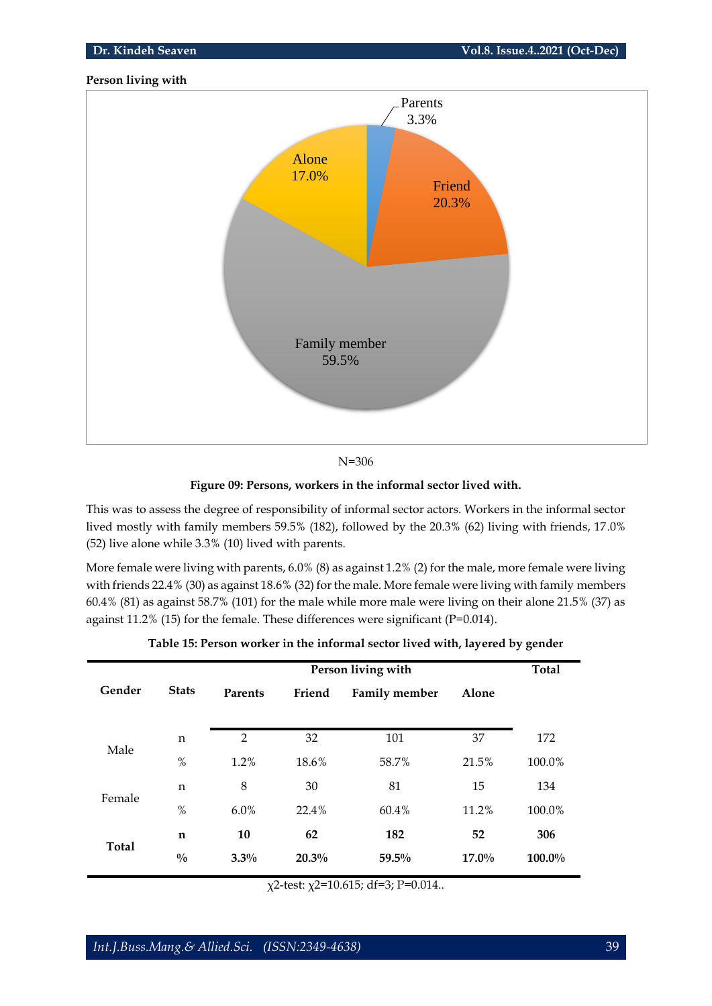# **Person living with**



N=306

# **Figure 09: Persons, workers in the informal sector lived with.**

This was to assess the degree of responsibility of informal sector actors. Workers in the informal sector lived mostly with family members 59.5% (182), followed by the 20.3% (62) living with friends, 17.0% (52) live alone while 3.3% (10) lived with parents.

More female were living with parents, 6.0% (8) as against 1.2% (2) for the male, more female were living with friends 22.4% (30) as against 18.6% (32) for the male. More female were living with family members 60.4% (81) as against 58.7% (101) for the male while more male were living on their alone 21.5% (37) as against 11.2% (15) for the female. These differences were significant (P=0.014).

|              |               | Person living with |        |                      |          |        |  |  |
|--------------|---------------|--------------------|--------|----------------------|----------|--------|--|--|
| Gender       | <b>Stats</b>  | Parents            | Friend | <b>Family member</b> | Alone    |        |  |  |
|              | n             | $\overline{2}$     | 32     | 101                  | 37       | 172    |  |  |
| Male         | $\%$          | 1.2%               | 18.6%  | 58.7%                | 21.5%    | 100.0% |  |  |
|              | n             | 8                  | 30     | 81                   | 15       | 134    |  |  |
| Female       | $\%$          | $6.0\%$            | 22.4%  | 60.4%                | 11.2%    | 100.0% |  |  |
|              | $\mathbf n$   | 10                 | 62     | 182                  | 52       | 306    |  |  |
| <b>Total</b> | $\frac{0}{0}$ | $3.3\%$            | 20.3%  | 59.5%                | $17.0\%$ | 100.0% |  |  |
|              |               |                    |        |                      |          |        |  |  |

| Table 15: Person worker in the informal sector lived with, layered by gender |  |  |
|------------------------------------------------------------------------------|--|--|
|------------------------------------------------------------------------------|--|--|

χ2-test: χ2=10.615; df=3; P=0.014..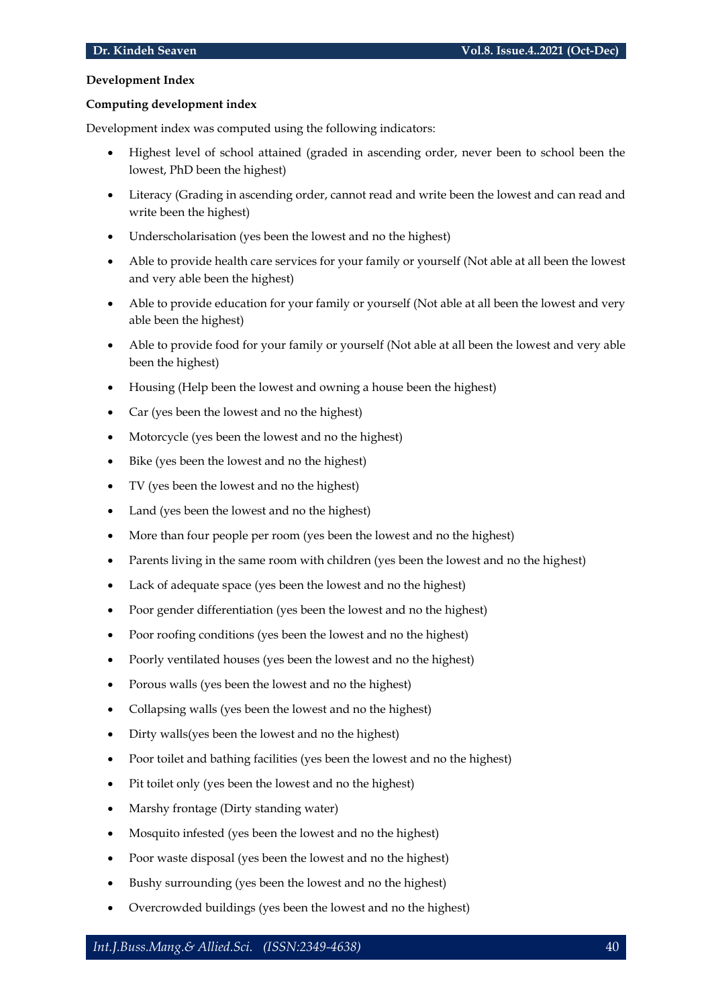# **Development Index**

# **Computing development index**

Development index was computed using the following indicators:

- Highest level of school attained (graded in ascending order, never been to school been the lowest, PhD been the highest)
- Literacy (Grading in ascending order, cannot read and write been the lowest and can read and write been the highest)
- Underscholarisation (yes been the lowest and no the highest)
- Able to provide health care services for your family or yourself (Not able at all been the lowest and very able been the highest)
- Able to provide education for your family or yourself (Not able at all been the lowest and very able been the highest)
- Able to provide food for your family or yourself (Not able at all been the lowest and very able been the highest)
- Housing (Help been the lowest and owning a house been the highest)
- Car (yes been the lowest and no the highest)
- Motorcycle (yes been the lowest and no the highest)
- Bike (yes been the lowest and no the highest)
- TV (yes been the lowest and no the highest)
- Land (yes been the lowest and no the highest)
- More than four people per room (yes been the lowest and no the highest)
- Parents living in the same room with children (yes been the lowest and no the highest)
- Lack of adequate space (yes been the lowest and no the highest)
- Poor gender differentiation (yes been the lowest and no the highest)
- Poor roofing conditions (yes been the lowest and no the highest)
- Poorly ventilated houses (yes been the lowest and no the highest)
- Porous walls (yes been the lowest and no the highest)
- Collapsing walls (yes been the lowest and no the highest)
- Dirty walls(yes been the lowest and no the highest)
- Poor toilet and bathing facilities (yes been the lowest and no the highest)
- Pit toilet only (yes been the lowest and no the highest)
- Marshy frontage (Dirty standing water)
- Mosquito infested (yes been the lowest and no the highest)
- Poor waste disposal (yes been the lowest and no the highest)
- Bushy surrounding (yes been the lowest and no the highest)
- Overcrowded buildings (yes been the lowest and no the highest)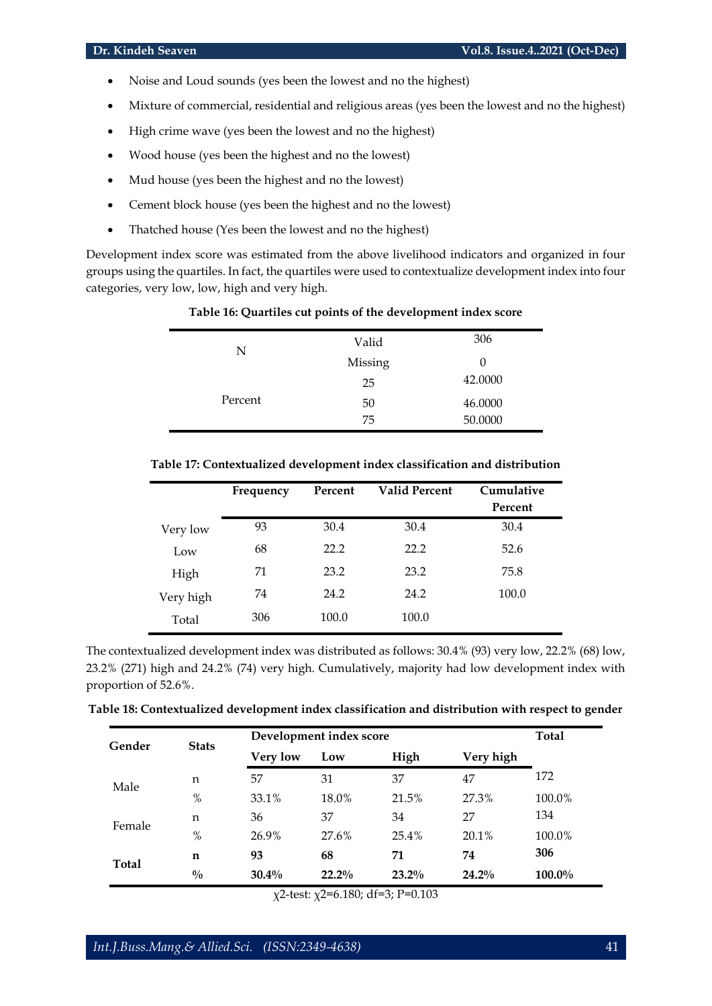- Noise and Loud sounds (yes been the lowest and no the highest)
- Mixture of commercial, residential and religious areas (yes been the lowest and no the highest)
- High crime wave (yes been the lowest and no the highest)
- Wood house (yes been the highest and no the lowest)
- Mud house (yes been the highest and no the lowest)
- Cement block house (yes been the highest and no the lowest)
- Thatched house (Yes been the lowest and no the highest)

Development index score was estimated from the above livelihood indicators and organized in four groups using the quartiles. In fact, the quartiles were used to contextualize development index into four categories, very low, low, high and very high.

| N       | Valid   | 306     |
|---------|---------|---------|
|         | Missing | $\cup$  |
|         | 25      | 42.0000 |
| Percent | 50      | 46.0000 |
|         | 75      | 50.0000 |

# **Table 16: Quartiles cut points of the development index score**

| Table 17: Contextualized development index classification and distribution |  |
|----------------------------------------------------------------------------|--|
|----------------------------------------------------------------------------|--|

|           | Frequency | Percent | <b>Valid Percent</b> | Cumulative |
|-----------|-----------|---------|----------------------|------------|
|           |           |         |                      | Percent    |
| Very low  | 93        | 30.4    | 30.4                 | 30.4       |
| Low       | 68        | 22.2    | 22.2                 | 52.6       |
| High      | 71        | 23.2    | 23.2                 | 75.8       |
| Very high | 74        | 24.2    | 24.2                 | 100.0      |
| Total     | 306       | 100.0   | 100.0                |            |

The contextualized development index was distributed as follows: 30.4% (93) very low, 22.2% (68) low, 23.2% (271) high and 24.2% (74) very high. Cumulatively, majority had low development index with proportion of 52.6%.

| Table 18: Contextualized development index classification and distribution with respect to gender |  |  |  |  |
|---------------------------------------------------------------------------------------------------|--|--|--|--|
|                                                                                                   |  |  |  |  |

| Gender | <b>Stats</b>  | Development index score |          |          |           | <b>Total</b> |
|--------|---------------|-------------------------|----------|----------|-----------|--------------|
|        |               | <b>Very low</b>         | Low      | High     | Very high |              |
| Male   | n             | 57                      | 31       | 37       | 47        | 172          |
|        | $\%$          | 33.1%                   | 18.0%    | 21.5%    | 27.3%     | 100.0%       |
| Female | n             | 36                      | 37       | 34       | 27        | 134          |
|        | $\%$          | 26.9%                   | 27.6%    | 25.4%    | 20.1%     | 100.0%       |
| Total  | n             | 93                      | 68       | 71       | 74        | 306          |
|        | $\frac{0}{0}$ | $30.4\%$                | $22.2\%$ | $23.2\%$ | $24.2\%$  | 100.0%       |

χ2-test: χ2=6.180; df=3; P=0.103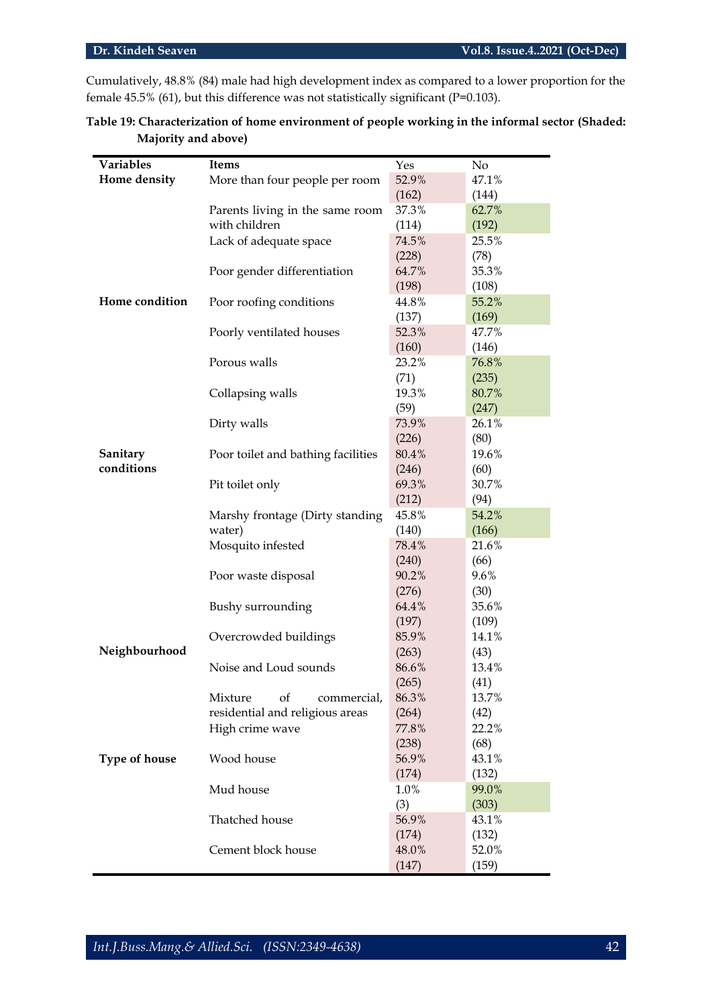Cumulatively, 48.8% (84) male had high development index as compared to a lower proportion for the female 45.5% (61), but this difference was not statistically significant (P=0.103).

| Variables            | <b>Items</b>                       | Yes   | No    |
|----------------------|------------------------------------|-------|-------|
| Home density         | More than four people per room     | 52.9% | 47.1% |
|                      |                                    | (162) | (144) |
|                      | Parents living in the same room    | 37.3% | 62.7% |
|                      | with children                      | (114) | (192) |
|                      | Lack of adequate space             | 74.5% | 25.5% |
|                      |                                    | (228) | (78)  |
|                      | Poor gender differentiation        | 64.7% | 35.3% |
|                      |                                    | (198) | (108) |
| Home condition       | Poor roofing conditions            | 44.8% | 55.2% |
|                      |                                    | (137) | (169) |
|                      | Poorly ventilated houses           | 52.3% | 47.7% |
|                      |                                    | (160) | (146) |
|                      | Porous walls                       | 23.2% | 76.8% |
|                      |                                    | (71)  | (235) |
|                      | Collapsing walls                   | 19.3% | 80.7% |
|                      |                                    | (59)  | (247) |
|                      | Dirty walls                        | 73.9% | 26.1% |
|                      |                                    | (226) | (80)  |
| Sanitary             | Poor toilet and bathing facilities | 80.4% | 19.6% |
| conditions           |                                    | (246) | (60)  |
|                      | Pit toilet only                    | 69.3% | 30.7% |
|                      |                                    | (212) | (94)  |
|                      | Marshy frontage (Dirty standing    | 45.8% | 54.2% |
|                      | water)                             | (140) | (166) |
|                      | Mosquito infested                  | 78.4% | 21.6% |
|                      |                                    | (240) | (66)  |
|                      | Poor waste disposal                | 90.2% | 9.6%  |
|                      |                                    | (276) | (30)  |
|                      | Bushy surrounding                  | 64.4% | 35.6% |
|                      |                                    | (197) | (109) |
|                      | Overcrowded buildings              | 85.9% | 14.1% |
| Neighbourhood        |                                    | (263) | (43)  |
|                      | Noise and Loud sounds              | 86.6% | 13.4% |
|                      |                                    | (265) | (41)  |
|                      | Mixture<br>of<br>commercial,       | 86.3% | 13.7% |
|                      | residential and religious areas    | (264) | (42)  |
|                      | High crime wave                    | 77.8% | 22.2% |
|                      |                                    | (238) | (68)  |
| <b>Type of house</b> | Wood house                         | 56.9% | 43.1% |
|                      |                                    | (174) | (132) |
|                      | Mud house                          | 1.0%  | 99.0% |
|                      |                                    | (3)   | (303) |
|                      | Thatched house                     | 56.9% | 43.1% |
|                      |                                    | (174) | (132) |
|                      | Cement block house                 | 48.0% | 52.0% |
|                      |                                    | (147) | (159) |

| Table 19: Characterization of home environment of people working in the informal sector (Shaded: |  |
|--------------------------------------------------------------------------------------------------|--|
| Majority and above)                                                                              |  |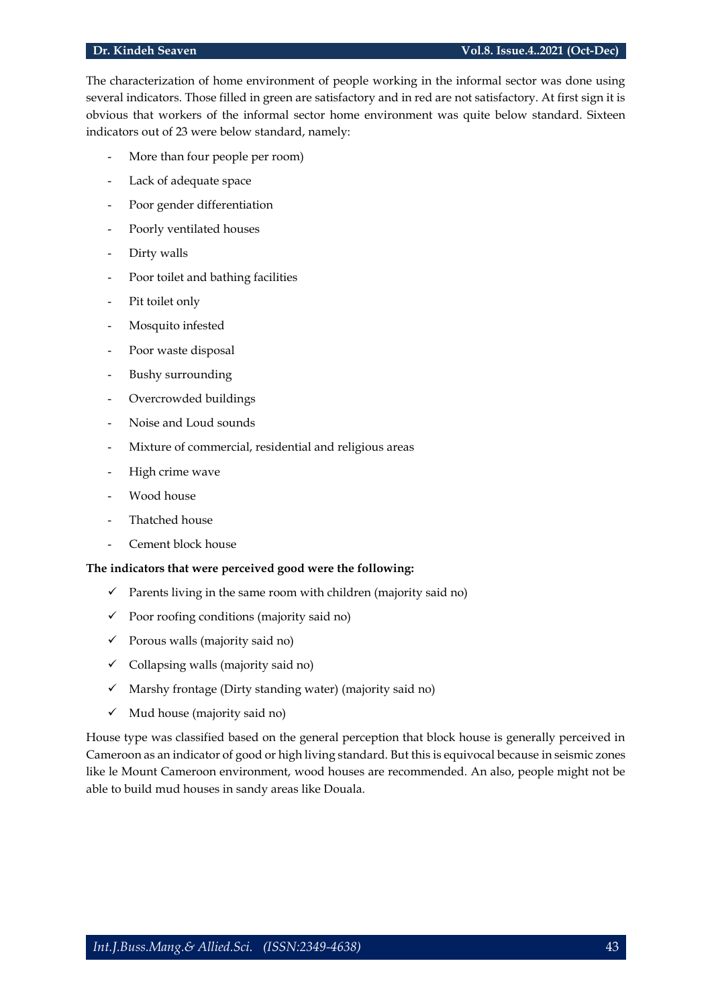The characterization of home environment of people working in the informal sector was done using several indicators. Those filled in green are satisfactory and in red are not satisfactory. At first sign it is obvious that workers of the informal sector home environment was quite below standard. Sixteen indicators out of 23 were below standard, namely:

- More than four people per room)
- Lack of adequate space
- Poor gender differentiation
- Poorly ventilated houses
- Dirty walls
- Poor toilet and bathing facilities
- Pit toilet only
- Mosquito infested
- Poor waste disposal
- Bushy surrounding
- Overcrowded buildings
- Noise and Loud sounds
- Mixture of commercial, residential and religious areas
- High crime wave
- Wood house
- Thatched house
- Cement block house

# **The indicators that were perceived good were the following:**

- $\checkmark$  Parents living in the same room with children (majority said no)
- $\checkmark$  Poor roofing conditions (majority said no)
- $\checkmark$  Porous walls (majority said no)
- $\checkmark$  Collapsing walls (majority said no)
- $\checkmark$  Marshy frontage (Dirty standing water) (majority said no)
- $\checkmark$  Mud house (majority said no)

House type was classified based on the general perception that block house is generally perceived in Cameroon as an indicator of good or high living standard. But this is equivocal because in seismic zones like le Mount Cameroon environment, wood houses are recommended. An also, people might not be able to build mud houses in sandy areas like Douala.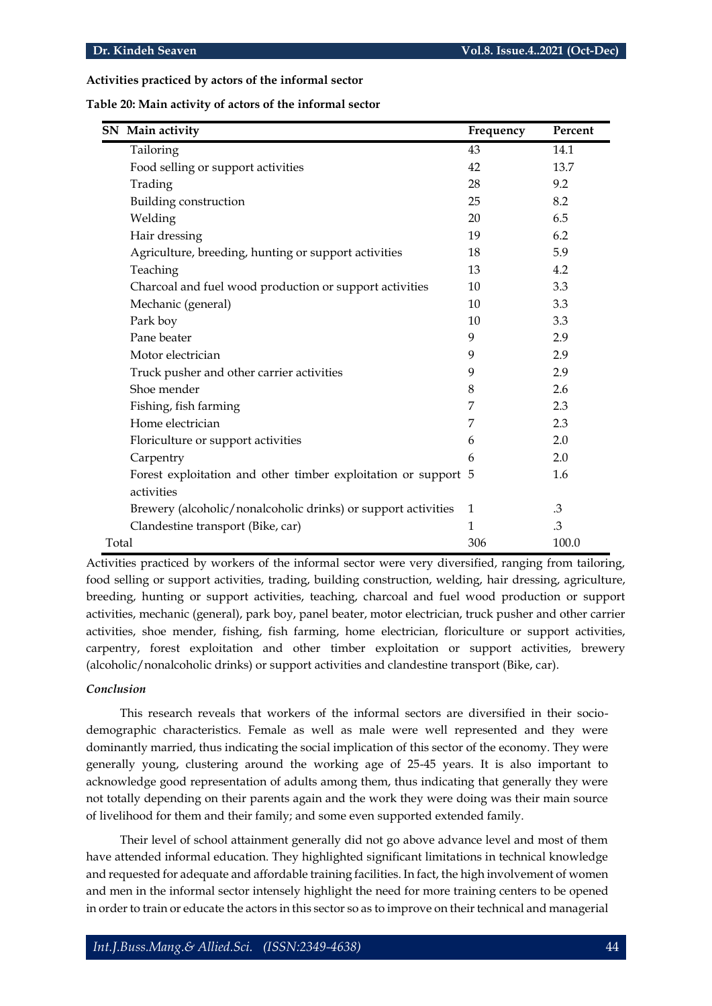### **Activities practiced by actors of the informal sector**

|       | SN Main activity                                               | Frequency    | Percent |
|-------|----------------------------------------------------------------|--------------|---------|
|       | Tailoring                                                      | 43           | 14.1    |
|       | Food selling or support activities                             | 42           | 13.7    |
|       | Trading                                                        | 28           | 9.2     |
|       | Building construction                                          | 25           | 8.2     |
|       | Welding                                                        | 20           | 6.5     |
|       | Hair dressing                                                  | 19           | 6.2     |
|       | Agriculture, breeding, hunting or support activities           | 18           | 5.9     |
|       | Teaching                                                       | 13           | 4.2     |
|       | Charcoal and fuel wood production or support activities        | 10           | 3.3     |
|       | Mechanic (general)                                             | 10           | 3.3     |
|       | Park boy                                                       | 10           | 3.3     |
|       | Pane beater                                                    | 9            | 2.9     |
|       | Motor electrician                                              | 9            | 2.9     |
|       | Truck pusher and other carrier activities                      | 9            | 2.9     |
|       | Shoe mender                                                    | 8            | 2.6     |
|       | Fishing, fish farming                                          | 7            | 2.3     |
|       | Home electrician                                               | 7            | 2.3     |
|       | Floriculture or support activities                             | 6            | 2.0     |
|       | Carpentry                                                      | 6            | 2.0     |
|       | Forest exploitation and other timber exploitation or support 5 |              | 1.6     |
|       | activities                                                     |              |         |
|       | Brewery (alcoholic/nonalcoholic drinks) or support activities  | $\mathbf{1}$ | .3      |
|       | Clandestine transport (Bike, car)                              | 1            | .3      |
| Total |                                                                | 306          | 100.0   |

Activities practiced by workers of the informal sector were very diversified, ranging from tailoring, food selling or support activities, trading, building construction, welding, hair dressing, agriculture, breeding, hunting or support activities, teaching, charcoal and fuel wood production or support activities, mechanic (general), park boy, panel beater, motor electrician, truck pusher and other carrier activities, shoe mender, fishing, fish farming, home electrician, floriculture or support activities, carpentry, forest exploitation and other timber exploitation or support activities, brewery (alcoholic/nonalcoholic drinks) or support activities and clandestine transport (Bike, car).

### *Conclusion*

This research reveals that workers of the informal sectors are diversified in their sociodemographic characteristics. Female as well as male were well represented and they were dominantly married, thus indicating the social implication of this sector of the economy. They were generally young, clustering around the working age of 25-45 years. It is also important to acknowledge good representation of adults among them, thus indicating that generally they were not totally depending on their parents again and the work they were doing was their main source of livelihood for them and their family; and some even supported extended family.

Their level of school attainment generally did not go above advance level and most of them have attended informal education. They highlighted significant limitations in technical knowledge and requested for adequate and affordable training facilities. In fact, the high involvement of women and men in the informal sector intensely highlight the need for more training centers to be opened in order to train or educate the actors in this sector so as to improve on their technical and managerial